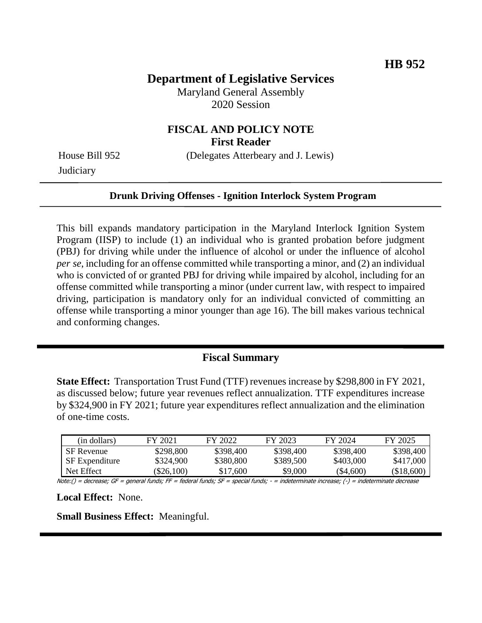# **Department of Legislative Services**

Maryland General Assembly 2020 Session

#### **FISCAL AND POLICY NOTE First Reader**

**Judiciary** 

House Bill 952 (Delegates Atterbeary and J. Lewis)

#### **Drunk Driving Offenses - Ignition Interlock System Program**

This bill expands mandatory participation in the Maryland Interlock Ignition System Program (IISP) to include (1) an individual who is granted probation before judgment (PBJ) for driving while under the influence of alcohol or under the influence of alcohol *per se*, including for an offense committed while transporting a minor, and (2) an individual who is convicted of or granted PBJ for driving while impaired by alcohol, including for an offense committed while transporting a minor (under current law, with respect to impaired driving, participation is mandatory only for an individual convicted of committing an offense while transporting a minor younger than age 16). The bill makes various technical and conforming changes.

### **Fiscal Summary**

**State Effect:** Transportation Trust Fund (TTF) revenues increase by \$298,800 in FY 2021, as discussed below; future year revenues reflect annualization. TTF expenditures increase by \$324,900 in FY 2021; future year expenditures reflect annualization and the elimination of one-time costs.

| (in dollars)          | FY 2021   | FY 2022   | FY 2023   | FY 2024   | FY 2025    |
|-----------------------|-----------|-----------|-----------|-----------|------------|
| <b>SF</b> Revenue     | \$298,800 | \$398,400 | \$398,400 | \$398,400 | \$398,400  |
| <b>SF</b> Expenditure | \$324,900 | \$380,800 | \$389,500 | \$403,000 | \$417,000  |
| Net Effect            | (S26.100) | \$17,600  | \$9,000   | (S4,600)  | (\$18,600) |

Note:() = decrease; GF = general funds; FF = federal funds; SF = special funds; - = indeterminate increase; (-) = indeterminate decrease

**Local Effect:** None.

**Small Business Effect:** Meaningful.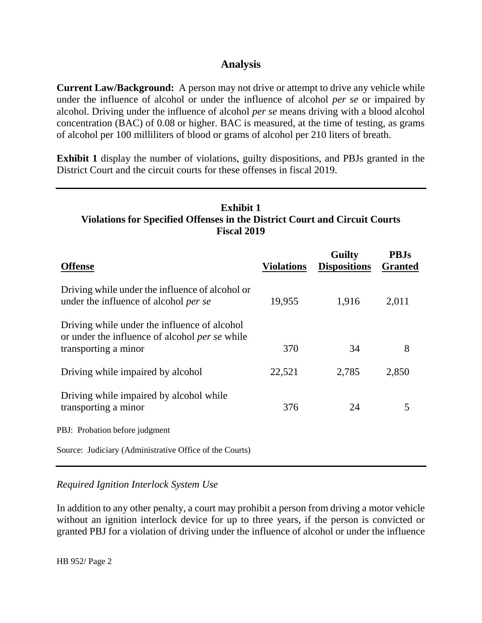# **Analysis**

**Current Law/Background:** A person may not drive or attempt to drive any vehicle while under the influence of alcohol or under the influence of alcohol *per se* or impaired by alcohol. Driving under the influence of alcohol *per se* means driving with a blood alcohol concentration (BAC) of 0.08 or higher. BAC is measured, at the time of testing, as grams of alcohol per 100 milliliters of blood or grams of alcohol per 210 liters of breath.

**Exhibit 1** display the number of violations, guilty dispositions, and PBJs granted in the District Court and the circuit courts for these offenses in fiscal 2019.

# **Exhibit 1 Violations for Specified Offenses in the District Court and Circuit Courts Fiscal 2019**

| <b>Offense</b>                                                                                                         | <b>Violations</b> | <b>Guilty</b><br><b>Dispositions</b> | <b>PBJs</b><br><b>Granted</b> |
|------------------------------------------------------------------------------------------------------------------------|-------------------|--------------------------------------|-------------------------------|
| Driving while under the influence of alcohol or<br>under the influence of alcohol per se                               | 19,955            | 1,916                                | 2,011                         |
| Driving while under the influence of alcohol<br>or under the influence of alcohol per se while<br>transporting a minor | 370               | 34                                   | 8                             |
| Driving while impaired by alcohol                                                                                      | 22,521            | 2,785                                | 2,850                         |
| Driving while impaired by alcohol while<br>transporting a minor                                                        | 376               | 24                                   | 5                             |
| PBJ: Probation before judgment                                                                                         |                   |                                      |                               |
| Source: Judiciary (Administrative Office of the Courts)                                                                |                   |                                      |                               |

### *Required Ignition Interlock System Use*

In addition to any other penalty, a court may prohibit a person from driving a motor vehicle without an ignition interlock device for up to three years, if the person is convicted or granted PBJ for a violation of driving under the influence of alcohol or under the influence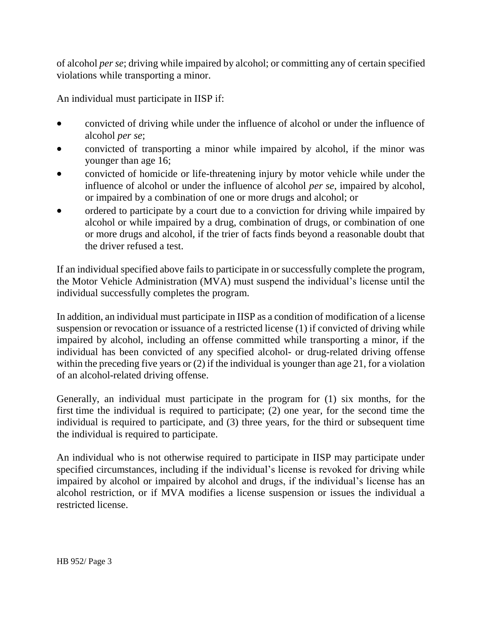of alcohol *per se*; driving while impaired by alcohol; or committing any of certain specified violations while transporting a minor.

An individual must participate in IISP if:

- convicted of driving while under the influence of alcohol or under the influence of alcohol *per se*;
- convicted of transporting a minor while impaired by alcohol, if the minor was younger than age 16;
- convicted of homicide or life-threatening injury by motor vehicle while under the influence of alcohol or under the influence of alcohol *per se*, impaired by alcohol, or impaired by a combination of one or more drugs and alcohol; or
- ordered to participate by a court due to a conviction for driving while impaired by alcohol or while impaired by a drug, combination of drugs, or combination of one or more drugs and alcohol, if the trier of facts finds beyond a reasonable doubt that the driver refused a test.

If an individual specified above fails to participate in or successfully complete the program, the Motor Vehicle Administration (MVA) must suspend the individual's license until the individual successfully completes the program.

In addition, an individual must participate in IISP as a condition of modification of a license suspension or revocation or issuance of a restricted license (1) if convicted of driving while impaired by alcohol, including an offense committed while transporting a minor, if the individual has been convicted of any specified alcohol- or drug-related driving offense within the preceding five years or (2) if the individual is younger than age 21, for a violation of an alcohol-related driving offense.

Generally, an individual must participate in the program for (1) six months, for the first time the individual is required to participate; (2) one year, for the second time the individual is required to participate, and (3) three years, for the third or subsequent time the individual is required to participate.

An individual who is not otherwise required to participate in IISP may participate under specified circumstances, including if the individual's license is revoked for driving while impaired by alcohol or impaired by alcohol and drugs, if the individual's license has an alcohol restriction, or if MVA modifies a license suspension or issues the individual a restricted license.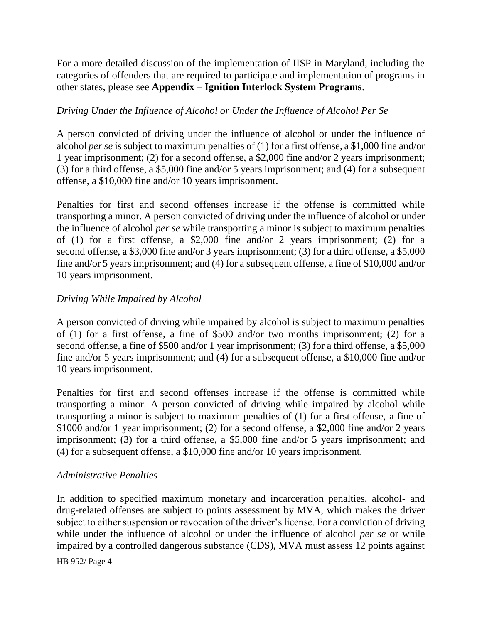For a more detailed discussion of the implementation of IISP in Maryland, including the categories of offenders that are required to participate and implementation of programs in other states, please see **Appendix – Ignition Interlock System Programs**.

### *Driving Under the Influence of Alcohol or Under the Influence of Alcohol Per Se*

A person convicted of driving under the influence of alcohol or under the influence of alcohol *per se* is subject to maximum penalties of (1) for a first offense, a \$1,000 fine and/or 1 year imprisonment; (2) for a second offense, a \$2,000 fine and/or 2 years imprisonment; (3) for a third offense, a \$5,000 fine and/or 5 years imprisonment; and (4) for a subsequent offense, a \$10,000 fine and/or 10 years imprisonment.

Penalties for first and second offenses increase if the offense is committed while transporting a minor. A person convicted of driving under the influence of alcohol or under the influence of alcohol *per se* while transporting a minor is subject to maximum penalties of (1) for a first offense, a \$2,000 fine and/or 2 years imprisonment; (2) for a second offense, a \$3,000 fine and/or 3 years imprisonment; (3) for a third offense, a \$5,000 fine and/or 5 years imprisonment; and (4) for a subsequent offense, a fine of \$10,000 and/or 10 years imprisonment.

### *Driving While Impaired by Alcohol*

A person convicted of driving while impaired by alcohol is subject to maximum penalties of (1) for a first offense, a fine of \$500 and/or two months imprisonment; (2) for a second offense, a fine of \$500 and/or 1 year imprisonment; (3) for a third offense, a \$5,000 fine and/or 5 years imprisonment; and (4) for a subsequent offense, a \$10,000 fine and/or 10 years imprisonment.

Penalties for first and second offenses increase if the offense is committed while transporting a minor. A person convicted of driving while impaired by alcohol while transporting a minor is subject to maximum penalties of (1) for a first offense, a fine of \$1000 and/or 1 year imprisonment; (2) for a second offense, a \$2,000 fine and/or 2 years imprisonment; (3) for a third offense, a \$5,000 fine and/or 5 years imprisonment; and (4) for a subsequent offense, a \$10,000 fine and/or 10 years imprisonment.

### *Administrative Penalties*

In addition to specified maximum monetary and incarceration penalties, alcohol- and drug-related offenses are subject to points assessment by MVA, which makes the driver subject to either suspension or revocation of the driver's license. For a conviction of driving while under the influence of alcohol or under the influence of alcohol *per se* or while impaired by a controlled dangerous substance (CDS), MVA must assess 12 points against

HB 952/ Page 4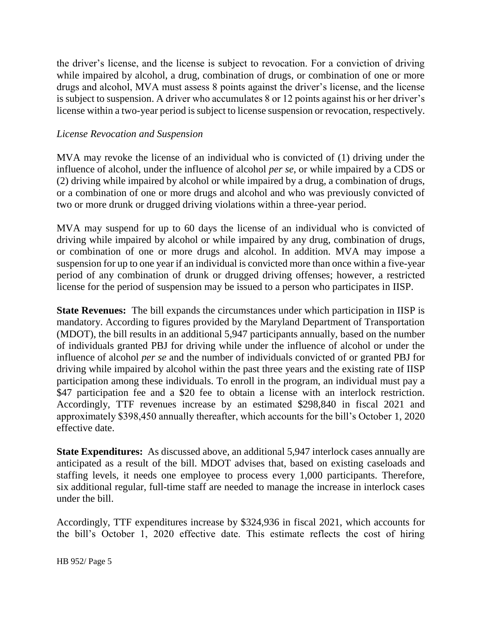the driver's license, and the license is subject to revocation. For a conviction of driving while impaired by alcohol, a drug, combination of drugs, or combination of one or more drugs and alcohol, MVA must assess 8 points against the driver's license, and the license is subject to suspension. A driver who accumulates 8 or 12 points against his or her driver's license within a two-year period is subject to license suspension or revocation, respectively.

#### *License Revocation and Suspension*

MVA may revoke the license of an individual who is convicted of (1) driving under the influence of alcohol, under the influence of alcohol *per se*, or while impaired by a CDS or (2) driving while impaired by alcohol or while impaired by a drug, a combination of drugs, or a combination of one or more drugs and alcohol and who was previously convicted of two or more drunk or drugged driving violations within a three-year period.

MVA may suspend for up to 60 days the license of an individual who is convicted of driving while impaired by alcohol or while impaired by any drug, combination of drugs, or combination of one or more drugs and alcohol. In addition. MVA may impose a suspension for up to one year if an individual is convicted more than once within a five-year period of any combination of drunk or drugged driving offenses; however, a restricted license for the period of suspension may be issued to a person who participates in IISP.

**State Revenues:** The bill expands the circumstances under which participation in IISP is mandatory. According to figures provided by the Maryland Department of Transportation (MDOT), the bill results in an additional 5,947 participants annually, based on the number of individuals granted PBJ for driving while under the influence of alcohol or under the influence of alcohol *per se* and the number of individuals convicted of or granted PBJ for driving while impaired by alcohol within the past three years and the existing rate of IISP participation among these individuals. To enroll in the program, an individual must pay a \$47 participation fee and a \$20 fee to obtain a license with an interlock restriction. Accordingly, TTF revenues increase by an estimated \$298,840 in fiscal 2021 and approximately \$398,450 annually thereafter, which accounts for the bill's October 1, 2020 effective date.

**State Expenditures:** As discussed above, an additional 5,947 interlock cases annually are anticipated as a result of the bill. MDOT advises that, based on existing caseloads and staffing levels, it needs one employee to process every 1,000 participants. Therefore, six additional regular, full-time staff are needed to manage the increase in interlock cases under the bill.

Accordingly, TTF expenditures increase by \$324,936 in fiscal 2021, which accounts for the bill's October 1, 2020 effective date. This estimate reflects the cost of hiring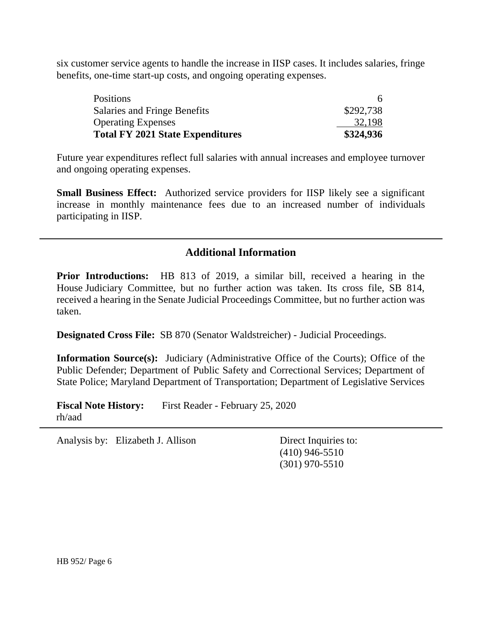six customer service agents to handle the increase in IISP cases. It includes salaries, fringe benefits, one-time start-up costs, and ongoing operating expenses.

| 32,198    |
|-----------|
| \$292,738 |
|           |
|           |

Future year expenditures reflect full salaries with annual increases and employee turnover and ongoing operating expenses.

**Small Business Effect:** Authorized service providers for IISP likely see a significant increase in monthly maintenance fees due to an increased number of individuals participating in IISP.

# **Additional Information**

**Prior Introductions:** HB 813 of 2019, a similar bill, received a hearing in the House Judiciary Committee, but no further action was taken. Its cross file, SB 814, received a hearing in the Senate Judicial Proceedings Committee, but no further action was taken.

**Designated Cross File:** SB 870 (Senator Waldstreicher) - Judicial Proceedings.

**Information Source(s):** Judiciary (Administrative Office of the Courts); Office of the Public Defender; Department of Public Safety and Correctional Services; Department of State Police; Maryland Department of Transportation; Department of Legislative Services

**Fiscal Note History:** First Reader - February 25, 2020 rh/aad

Analysis by: Elizabeth J. Allison Direct Inquiries to:

(410) 946-5510 (301) 970-5510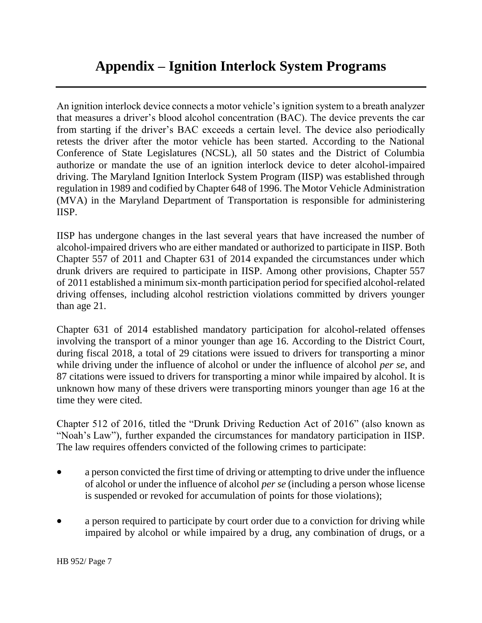An ignition interlock device connects a motor vehicle's ignition system to a breath analyzer that measures a driver's blood alcohol concentration (BAC). The device prevents the car from starting if the driver's BAC exceeds a certain level. The device also periodically retests the driver after the motor vehicle has been started. According to the National Conference of State Legislatures (NCSL), all 50 states and the District of Columbia authorize or mandate the use of an ignition interlock device to deter alcohol-impaired driving. The Maryland Ignition Interlock System Program (IISP) was established through regulation in 1989 and codified by Chapter 648 of 1996. The Motor Vehicle Administration (MVA) in the Maryland Department of Transportation is responsible for administering IISP.

IISP has undergone changes in the last several years that have increased the number of alcohol-impaired drivers who are either mandated or authorized to participate in IISP. Both Chapter 557 of 2011 and Chapter 631 of 2014 expanded the circumstances under which drunk drivers are required to participate in IISP. Among other provisions, Chapter 557 of 2011 established a minimum six-month participation period for specified alcohol-related driving offenses, including alcohol restriction violations committed by drivers younger than age 21.

Chapter 631 of 2014 established mandatory participation for alcohol-related offenses involving the transport of a minor younger than age 16. According to the District Court, during fiscal 2018, a total of 29 citations were issued to drivers for transporting a minor while driving under the influence of alcohol or under the influence of alcohol *per se*, and 87 citations were issued to drivers for transporting a minor while impaired by alcohol. It is unknown how many of these drivers were transporting minors younger than age 16 at the time they were cited.

Chapter 512 of 2016, titled the "Drunk Driving Reduction Act of 2016" (also known as "Noah's Law"), further expanded the circumstances for mandatory participation in IISP. The law requires offenders convicted of the following crimes to participate:

- a person convicted the first time of driving or attempting to drive under the influence of alcohol or under the influence of alcohol *per se* (including a person whose license is suspended or revoked for accumulation of points for those violations);
- a person required to participate by court order due to a conviction for driving while impaired by alcohol or while impaired by a drug, any combination of drugs, or a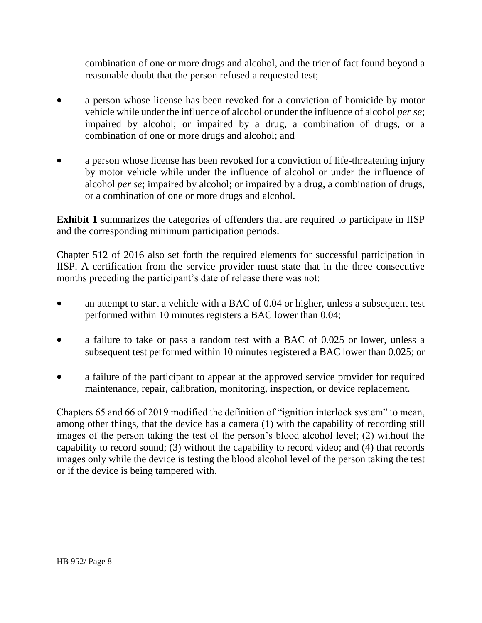combination of one or more drugs and alcohol, and the trier of fact found beyond a reasonable doubt that the person refused a requested test;

- a person whose license has been revoked for a conviction of homicide by motor vehicle while under the influence of alcohol or under the influence of alcohol *per se*; impaired by alcohol; or impaired by a drug, a combination of drugs, or a combination of one or more drugs and alcohol; and
- a person whose license has been revoked for a conviction of life-threatening injury by motor vehicle while under the influence of alcohol or under the influence of alcohol *per se*; impaired by alcohol; or impaired by a drug, a combination of drugs, or a combination of one or more drugs and alcohol.

**Exhibit 1** summarizes the categories of offenders that are required to participate in IISP and the corresponding minimum participation periods.

Chapter 512 of 2016 also set forth the required elements for successful participation in IISP. A certification from the service provider must state that in the three consecutive months preceding the participant's date of release there was not:

- an attempt to start a vehicle with a BAC of 0.04 or higher, unless a subsequent test performed within 10 minutes registers a BAC lower than 0.04;
- a failure to take or pass a random test with a BAC of 0.025 or lower, unless a subsequent test performed within 10 minutes registered a BAC lower than 0.025; or
- a failure of the participant to appear at the approved service provider for required maintenance, repair, calibration, monitoring, inspection, or device replacement.

Chapters 65 and 66 of 2019 modified the definition of "ignition interlock system" to mean, among other things, that the device has a camera (1) with the capability of recording still images of the person taking the test of the person's blood alcohol level; (2) without the capability to record sound; (3) without the capability to record video; and (4) that records images only while the device is testing the blood alcohol level of the person taking the test or if the device is being tampered with.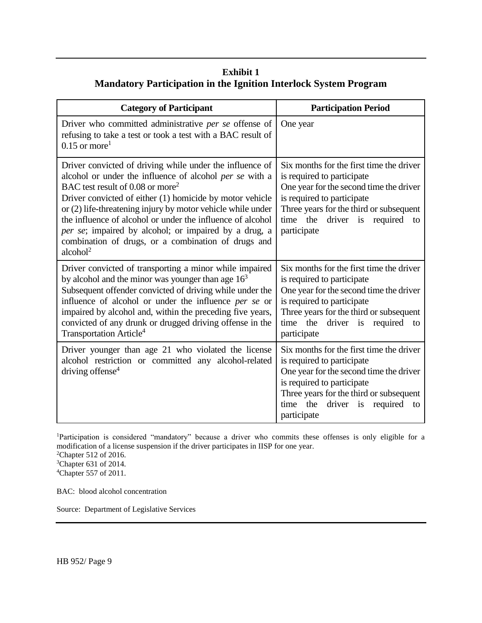# **Exhibit 1 Mandatory Participation in the Ignition Interlock System Program**

| <b>Category of Participant</b>                                                                                                                                                                                                                                                                                                                                                                                                                                                                       | <b>Participation Period</b>                                                                                                                                                                                                                             |  |
|------------------------------------------------------------------------------------------------------------------------------------------------------------------------------------------------------------------------------------------------------------------------------------------------------------------------------------------------------------------------------------------------------------------------------------------------------------------------------------------------------|---------------------------------------------------------------------------------------------------------------------------------------------------------------------------------------------------------------------------------------------------------|--|
| Driver who committed administrative <i>per se</i> offense of<br>refusing to take a test or took a test with a BAC result of<br>$0.15$ or more <sup>1</sup>                                                                                                                                                                                                                                                                                                                                           | One year                                                                                                                                                                                                                                                |  |
| Driver convicted of driving while under the influence of<br>alcohol or under the influence of alcohol per se with a<br>BAC test result of 0.08 or more <sup>2</sup><br>Driver convicted of either (1) homicide by motor vehicle<br>or (2) life-threatening injury by motor vehicle while under<br>the influence of alcohol or under the influence of alcohol<br>per se; impaired by alcohol; or impaired by a drug, a<br>combination of drugs, or a combination of drugs and<br>alcohol <sup>2</sup> | Six months for the first time the driver<br>is required to participate<br>One year for the second time the driver<br>is required to participate<br>Three years for the third or subsequent<br>time the driver is required<br>to<br>participate          |  |
| Driver convicted of transporting a minor while impaired<br>by alcohol and the minor was younger than age $163$<br>Subsequent offender convicted of driving while under the<br>influence of alcohol or under the influence per se or<br>impaired by alcohol and, within the preceding five years,<br>convicted of any drunk or drugged driving offense in the<br>Transportation Article <sup>4</sup>                                                                                                  | Six months for the first time the driver<br>is required to participate<br>One year for the second time the driver<br>is required to participate<br>Three years for the third or subsequent<br>time the driver is required<br>to<br>participate          |  |
| Driver younger than age 21 who violated the license<br>alcohol restriction or committed any alcohol-related<br>driving offense <sup>4</sup>                                                                                                                                                                                                                                                                                                                                                          | Six months for the first time the driver<br>is required to participate<br>One year for the second time the driver<br>is required to participate<br>Three years for the third or subsequent<br>driver is<br>the<br>time<br>required<br>to<br>participate |  |

<sup>1</sup>Participation is considered "mandatory" because a driver who commits these offenses is only eligible for a modification of a license suspension if the driver participates in IISP for one year.

<sup>2</sup>Chapter 512 of 2016.

<sup>3</sup>Chapter 631 of 2014.

<sup>4</sup>Chapter 557 of 2011.

BAC: blood alcohol concentration

Source: Department of Legislative Services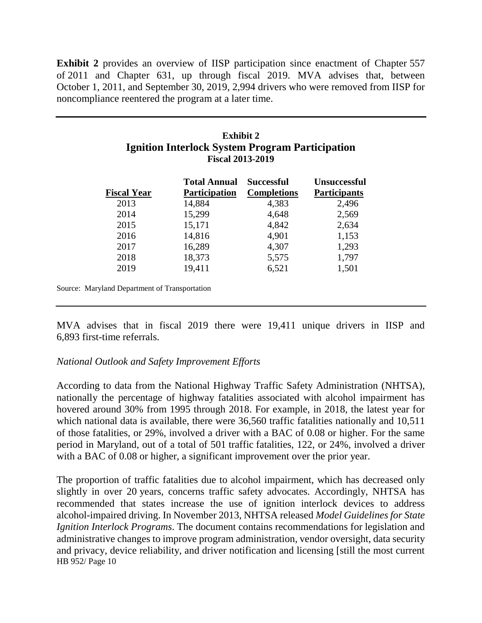**Exhibit 2** provides an overview of IISP participation since enactment of Chapter 557 of 2011 and Chapter 631, up through fiscal 2019. MVA advises that, between October 1, 2011, and September 30, 2019, 2,994 drivers who were removed from IISP for noncompliance reentered the program at a later time.

| <b>Exhibit 2</b>                                       |
|--------------------------------------------------------|
| <b>Ignition Interlock System Program Participation</b> |
| <b>Fiscal 2013-2019</b>                                |

| <b>Fiscal Year</b> | <b>Total Annual</b><br><b>Participation</b> | <b>Successful</b><br><b>Completions</b> | <b>Unsuccessful</b><br><b>Participants</b> |
|--------------------|---------------------------------------------|-----------------------------------------|--------------------------------------------|
| 2013               | 14,884                                      | 4,383                                   | 2,496                                      |
| 2014               | 15,299                                      | 4,648                                   | 2,569                                      |
| 2015               | 15,171                                      | 4,842                                   | 2,634                                      |
| 2016               | 14,816                                      | 4,901                                   | 1,153                                      |
| 2017               | 16,289                                      | 4,307                                   | 1,293                                      |
| 2018               | 18,373                                      | 5,575                                   | 1,797                                      |
| 2019               | 19,411                                      | 6,521                                   | 1,501                                      |
|                    |                                             |                                         |                                            |

Source: Maryland Department of Transportation

MVA advises that in fiscal 2019 there were 19,411 unique drivers in IISP and 6,893 first-time referrals.

#### *National Outlook and Safety Improvement Efforts*

According to data from the National Highway Traffic Safety Administration (NHTSA), nationally the percentage of highway fatalities associated with alcohol impairment has hovered around 30% from 1995 through 2018. For example, in 2018, the latest year for which national data is available, there were 36,560 traffic fatalities nationally and 10,511 of those fatalities, or 29%, involved a driver with a BAC of 0.08 or higher. For the same period in Maryland, out of a total of 501 traffic fatalities, 122, or 24%, involved a driver with a BAC of 0.08 or higher, a significant improvement over the prior year.

HB 952/ Page 10 The proportion of traffic fatalities due to alcohol impairment, which has decreased only slightly in over 20 years, concerns traffic safety advocates. Accordingly, NHTSA has recommended that states increase the use of ignition interlock devices to address alcohol-impaired driving. In November 2013, NHTSA released *Model Guidelines for State Ignition Interlock Programs*. The document contains recommendations for legislation and administrative changes to improve program administration, vendor oversight, data security and privacy, device reliability, and driver notification and licensing [still the most current